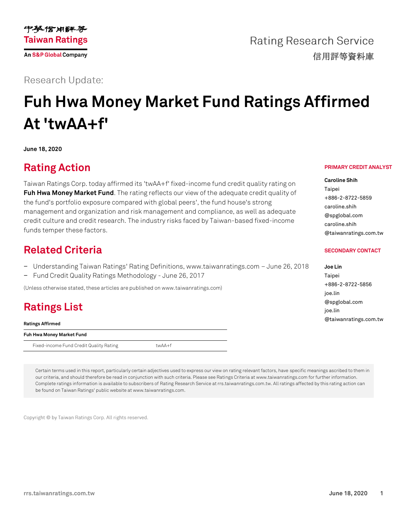

**Rating Research Service** 信用評等資料庫

**Research Update:** 

# **Fuh Hwa Money Market Fund Ratings Affirmed At 'twAA+f'**

**June 18, 2020**

### **Rating Action**

Taiwan Ratings Corp. today affirmed its 'twAA+f' fixed-income fund credit quality rating on **[Fuh Hwa Money Market Fund](https://rrs.taiwanratings.com.tw/portal/member/viewFund/533)**. The rating reflects our view of the adequate credit quality of the fund's portfolio exposure compared with global peers', the fund house's strong management and organization and risk management and compliance, as well as adequate credit culture and credit research. The industry risks faced by Taiwan-based fixed-income funds temper these factors.

### **Related Criteria**

- − Understanding Taiwan Ratings' Rating Definitions, www.taiwanratings.com June 26, 2018
- − Fund Credit Quality Ratings Methodology June 26, 2017

(Unless otherwise stated, these articles are published on www.taiwanratings.com)

## **Ratings List**

**Ratings Affirmed**

**Fuh Hwa Money Market Fund**

Fixed-income Fund Credit Quality Rating twAA+f

Certain terms used in this report, particularly certain adjectives used to express our view on rating relevant factors, have specific meanings ascribed to them in our criteria, and should therefore be read in conjunction with such criteria. Please see Ratings Criteria at www.taiwanratings.com for further information. Complete ratings information is available to subscribers of Rating Research Service at rrs.taiwanratings.com.tw. All ratings affected by this rating action can be found on Taiwan Ratings' public website at www.taiwanratings.com.

Copyright © by Taiwan Ratings Corp. All rights reserved.

#### **PRIMARY CREDIT ANALYST**

**Caroline Shih** Taipei +886-2-8722-5859 caroline.shih @spglobal.com caroline.shih @taiwanratings.com.tw

#### **SECONDARY CONTACT**

| Joe Lin               |
|-----------------------|
| Taipei                |
| +886-2-8722-5856      |
| joe.lin               |
| @spglobal.com         |
| joe.lin               |
| @taiwanratings.com.tw |